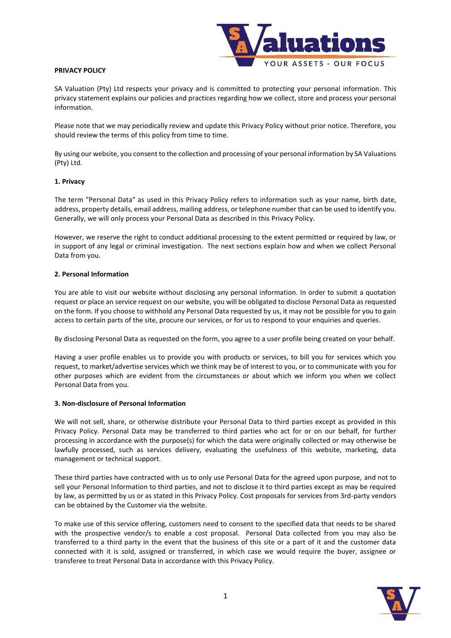

### **PRIVACY POLICY**

SA Valuation (Pty) Ltd respects your privacy and is committed to protecting your personal information. This privacy statement explains our policies and practices regarding how we collect, store and process your personal information.

Please note that we may periodically review and update this Privacy Policy without prior notice. Therefore, you should review the terms of this policy from time to time.

By using our website, you consent to the collection and processing of your personal information by SA Valuations (Pty) Ltd.

### **1. Privacy**

The term "Personal Data" as used in this Privacy Policy refers to information such as your name, birth date, address, property details, email address, mailing address, or telephone number that can be used to identify you. Generally, we will only process your Personal Data as described in this Privacy Policy.

However, we reserve the right to conduct additional processing to the extent permitted or required by law, or in support of any legal or criminal investigation. The next sections explain how and when we collect Personal Data from you.

### **2. Personal Information**

You are able to visit our website without disclosing any personal information. In order to submit a quotation request or place an service request on our website, you will be obligated to disclose Personal Data as requested on the form. If you choose to withhold any Personal Data requested by us, it may not be possible for you to gain access to certain parts of the site, procure our services, or for us to respond to your enquiries and queries.

By disclosing Personal Data as requested on the form, you agree to a user profile being created on your behalf.

Having a user profile enables us to provide you with products or services, to bill you for services which you request, to market/advertise services which we think may be of interest to you, or to communicate with you for other purposes which are evident from the circumstances or about which we inform you when we collect Personal Data from you.

#### **3. Non-disclosure of Personal Information**

We will not sell, share, or otherwise distribute your Personal Data to third parties except as provided in this Privacy Policy. Personal Data may be transferred to third parties who act for or on our behalf, for further processing in accordance with the purpose(s) for which the data were originally collected or may otherwise be lawfully processed, such as services delivery, evaluating the usefulness of this website, marketing, data management or technical support.

These third parties have contracted with us to only use Personal Data for the agreed upon purpose, and not to sell your Personal Information to third parties, and not to disclose it to third parties except as may be required by law, as permitted by us or as stated in this Privacy Policy. Cost proposals for services from 3rd-party vendors can be obtained by the Customer via the website.

To make use of this service offering, customers need to consent to the specified data that needs to be shared with the prospective vendor/s to enable a cost proposal. Personal Data collected from you may also be transferred to a third party in the event that the business of this site or a part of it and the customer data connected with it is sold, assigned or transferred, in which case we would require the buyer, assignee or transferee to treat Personal Data in accordance with this Privacy Policy.

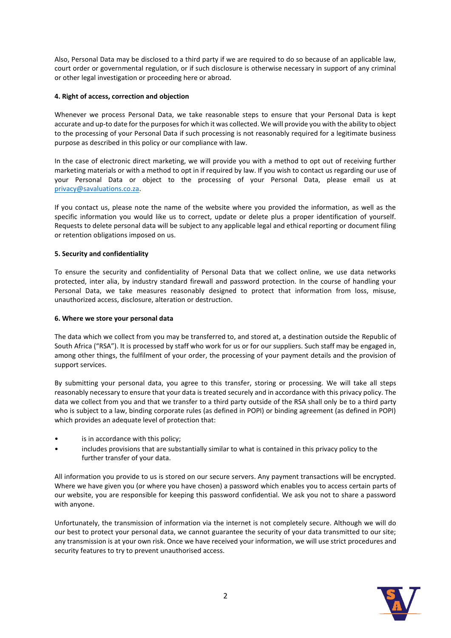Also, Personal Data may be disclosed to a third party if we are required to do so because of an applicable law, court order or governmental regulation, or if such disclosure is otherwise necessary in support of any criminal or other legal investigation or proceeding here or abroad.

# **4. Right of access, correction and objection**

Whenever we process Personal Data, we take reasonable steps to ensure that your Personal Data is kept accurate and up-to date for the purposes for which it was collected. We will provide you with the ability to object to the processing of your Personal Data if such processing is not reasonably required for a legitimate business purpose as described in this policy or our compliance with law.

In the case of electronic direct marketing, we will provide you with a method to opt out of receiving further marketing materials or with a method to opt in if required by law. If you wish to contact us regarding our use of your Personal Data or object to the processing of your Personal Data, please email us at [privacy@savaluations.co.za.](mailto:privacy@savaluations.co.za)

If you contact us, please note the name of the website where you provided the information, as well as the specific information you would like us to correct, update or delete plus a proper identification of yourself. Requests to delete personal data will be subject to any applicable legal and ethical reporting or document filing or retention obligations imposed on us.

### **5. Security and confidentiality**

To ensure the security and confidentiality of Personal Data that we collect online, we use data networks protected, inter alia, by industry standard firewall and password protection. In the course of handling your Personal Data, we take measures reasonably designed to protect that information from loss, misuse, unauthorized access, disclosure, alteration or destruction.

### **6. Where we store your personal data**

The data which we collect from you may be transferred to, and stored at, a destination outside the Republic of South Africa ("RSA"). It is processed by staff who work for us or for our suppliers. Such staff may be engaged in, among other things, the fulfilment of your order, the processing of your payment details and the provision of support services.

By submitting your personal data, you agree to this transfer, storing or processing. We will take all steps reasonably necessary to ensure that your data is treated securely and in accordance with this privacy policy. The data we collect from you and that we transfer to a third party outside of the RSA shall only be to a third party who is subject to a law, binding corporate rules (as defined in POPI) or binding agreement (as defined in POPI) which provides an adequate level of protection that:

- is in accordance with this policy;
- includes provisions that are substantially similar to what is contained in this privacy policy to the further transfer of your data.

All information you provide to us is stored on our secure servers. Any payment transactions will be encrypted. Where we have given you (or where you have chosen) a password which enables you to access certain parts of our website, you are responsible for keeping this password confidential. We ask you not to share a password with anyone.

Unfortunately, the transmission of information via the internet is not completely secure. Although we will do our best to protect your personal data, we cannot guarantee the security of your data transmitted to our site; any transmission is at your own risk. Once we have received your information, we will use strict procedures and security features to try to prevent unauthorised access.

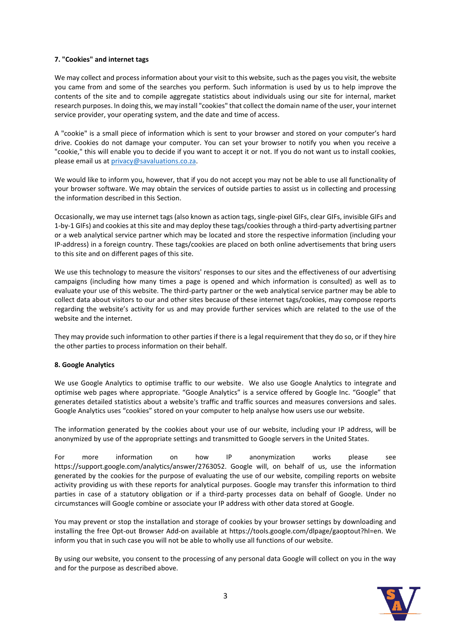# **7. "Cookies" and internet tags**

We may collect and process information about your visit to this website, such as the pages you visit, the website you came from and some of the searches you perform. Such information is used by us to help improve the contents of the site and to compile aggregate statistics about individuals using our site for internal, market research purposes. In doing this, we may install "cookies" that collect the domain name of the user, your internet service provider, your operating system, and the date and time of access.

A "cookie" is a small piece of information which is sent to your browser and stored on your computer's hard drive. Cookies do not damage your computer. You can set your browser to notify you when you receive a "cookie," this will enable you to decide if you want to accept it or not. If you do not want us to install cookies, please email us at [privacy@savaluations.co.za.](mailto:privacy@savaluations.co.za)

We would like to inform you, however, that if you do not accept you may not be able to use all functionality of your browser software. We may obtain the services of outside parties to assist us in collecting and processing the information described in this Section.

Occasionally, we may use internet tags (also known as action tags, single-pixel GIFs, clear GIFs, invisible GIFs and 1-by-1 GIFs) and cookies at this site and may deploy these tags/cookies through a third-party advertising partner or a web analytical service partner which may be located and store the respective information (including your IP-address) in a foreign country. These tags/cookies are placed on both online advertisements that bring users to this site and on different pages of this site.

We use this technology to measure the visitors' responses to our sites and the effectiveness of our advertising campaigns (including how many times a page is opened and which information is consulted) as well as to evaluate your use of this website. The third-party partner or the web analytical service partner may be able to collect data about visitors to our and other sites because of these internet tags/cookies, may compose reports regarding the website's activity for us and may provide further services which are related to the use of the website and the internet.

They may provide such information to other parties if there is a legal requirement that they do so, or if they hire the other parties to process information on their behalf.

# **8. Google Analytics**

We use Google Analytics to optimise traffic to our website. We also use Google Analytics to integrate and optimise web pages where appropriate. "Google Analytics" is a service offered by Google Inc. "Google" that generates detailed statistics about a website's traffic and traffic sources and measures conversions and sales. Google Analytics uses "cookies" stored on your computer to help analyse how users use our website.

The information generated by the cookies about your use of our website, including your IP address, will be anonymized by use of the appropriate settings and transmitted to Google servers in the United States.

For more information on how IP anonymization works please see https://support.google.com/analytics/answer/2763052. Google will, on behalf of us, use the information generated by the cookies for the purpose of evaluating the use of our website, compiling reports on website activity providing us with these reports for analytical purposes. Google may transfer this information to third parties in case of a statutory obligation or if a third-party processes data on behalf of Google. Under no circumstances will Google combine or associate your IP address with other data stored at Google.

You may prevent or stop the installation and storage of cookies by your browser settings by downloading and installing the free Opt-out Browser Add-on available at https://tools.google.com/dlpage/gaoptout?hl=en. We inform you that in such case you will not be able to wholly use all functions of our website.

By using our website, you consent to the processing of any personal data Google will collect on you in the way and for the purpose as described above.